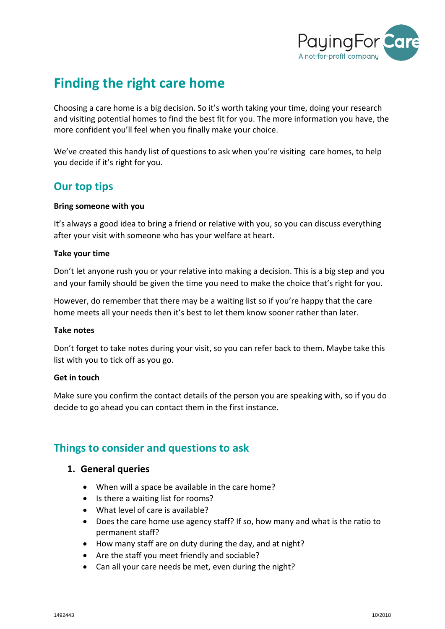

# **Finding the right care home**

Choosing a care home is a big decision. So it's worth taking your time, doing your research and visiting potential homes to find the best fit for you. The more information you have, the more confident you'll feel when you finally make your choice.

We've created this handy list of questions to ask when you're visiting care homes, to help you decide if it's right for you.

# **Our top tips**

#### **Bring someone with you**

It's always a good idea to bring a friend or relative with you, so you can discuss everything after your visit with someone who has your welfare at heart.

### **Take your time**

Don't let anyone rush you or your relative into making a decision. This is a big step and you and your family should be given the time you need to make the choice that's right for you.

However, do remember that there may be a waiting list so if you're happy that the care home meets all your needs then it's best to let them know sooner rather than later.

#### **Take notes**

Don't forget to take notes during your visit, so you can refer back to them. Maybe take this list with you to tick off as you go.

#### **Get in touch**

Make sure you confirm the contact details of the person you are speaking with, so if you do decide to go ahead you can contact them in the first instance.

# **Things to consider and questions to ask**

# **1. General queries**

- When will a space be available in the care home?
- Is there a waiting list for rooms?
- What level of care is available?
- Does the care home use agency staff? If so, how many and what is the ratio to permanent staff?
- How many staff are on duty during the day, and at night?
- Are the staff you meet friendly and sociable?
- Can all your care needs be met, even during the night?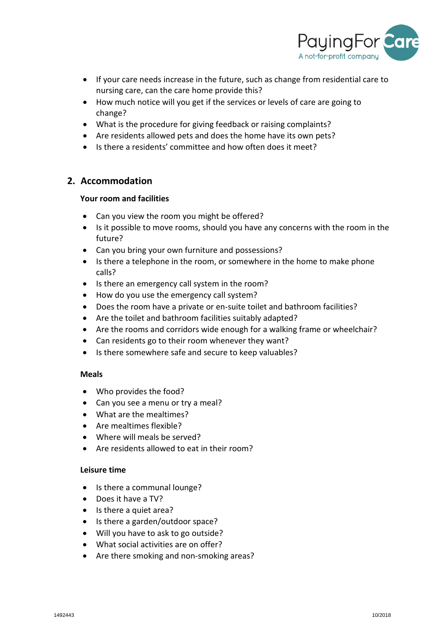

- If your care needs increase in the future, such as change from residential care to nursing care, can the care home provide this?
- How much notice will you get if the services or levels of care are going to change?
- What is the procedure for giving feedback or raising complaints?
- Are residents allowed pets and does the home have its own pets?
- Is there a residents' committee and how often does it meet?

# **2. Accommodation**

#### **Your room and facilities**

- Can you view the room you might be offered?
- Is it possible to move rooms, should you have any concerns with the room in the future?
- Can you bring your own furniture and possessions?
- Is there a telephone in the room, or somewhere in the home to make phone calls?
- Is there an emergency call system in the room?
- How do you use the emergency call system?
- Does the room have a private or en-suite toilet and bathroom facilities?
- Are the toilet and bathroom facilities suitably adapted?
- Are the rooms and corridors wide enough for a walking frame or wheelchair?
- Can residents go to their room whenever they want?
- Is there somewhere safe and secure to keep valuables?

#### **Meals**

- Who provides the food?
- Can you see a menu or try a meal?
- What are the mealtimes?
- Are mealtimes flexible?
- Where will meals be served?
- Are residents allowed to eat in their room?

#### **Leisure time**

- Is there a communal lounge?
- Does it have a TV?
- Is there a quiet area?
- Is there a garden/outdoor space?
- Will you have to ask to go outside?
- What social activities are on offer?
- Are there smoking and non-smoking areas?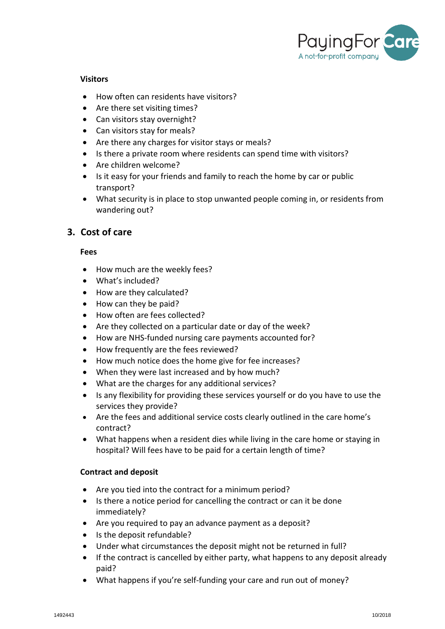

#### **Visitors**

- How often can residents have visitors?
- Are there set visiting times?
- Can visitors stay overnight?
- Can visitors stay for meals?
- Are there any charges for visitor stays or meals?
- Is there a private room where residents can spend time with visitors?
- Are children welcome?
- Is it easy for your friends and family to reach the home by car or public transport?
- What security is in place to stop unwanted people coming in, or residents from wandering out?

# **3. Cost of care**

#### **Fees**

- How much are the weekly fees?
- What's included?
- How are they calculated?
- How can they be paid?
- How often are fees collected?
- Are they collected on a particular date or day of the week?
- How are NHS-funded nursing care payments accounted for?
- How frequently are the fees reviewed?
- How much notice does the home give for fee increases?
- When they were last increased and by how much?
- What are the charges for any additional services?
- Is any flexibility for providing these services yourself or do you have to use the services they provide?
- Are the fees and additional service costs clearly outlined in the care home's contract?
- What happens when a resident dies while living in the care home or staying in hospital? Will fees have to be paid for a certain length of time?

#### **Contract and deposit**

- Are you tied into the contract for a minimum period?
- Is there a notice period for cancelling the contract or can it be done immediately?
- Are you required to pay an advance payment as a deposit?
- Is the deposit refundable?
- Under what circumstances the deposit might not be returned in full?
- If the contract is cancelled by either party, what happens to any deposit already paid?
- What happens if you're self-funding your care and run out of money?